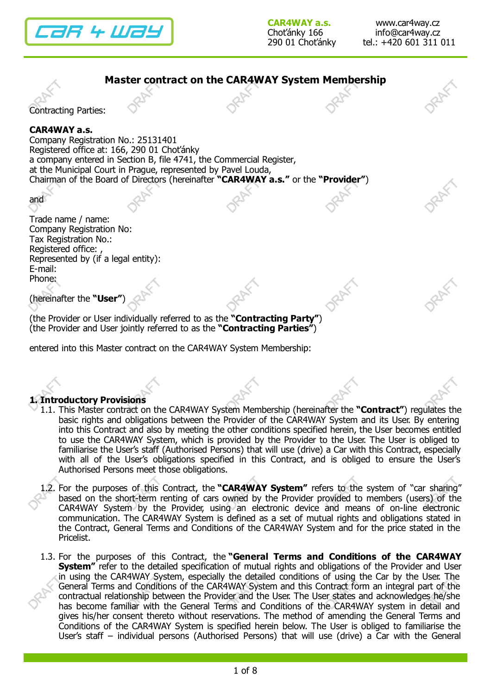

CAR4WAY a.s. Choťánky 166 290 01 Choťánky

www.car4way.cz info@car4way.cz tel.: +420 601 311 011



Master contract on the CAR4WAY System Membership

(hereinafter the "User"

(the Provider or User individually referred to as the "Contracting Party") (the Provider and User jointly referred to as the "**Contracting Parties"**)

entered into this Master contract on the CAR4WAY System Membership:

# 1. Introductory Provisions

- 1.1. This Master contract on the CAR4WAY System Membership (hereinafter the "Contract") regulates the basic rights and obligations between the Provider of the CAR4WAY System and its User. By entering into this Contract and also by meeting the other conditions specified herein, the User becomes entitled to use the CAR4WAY System, which is provided by the Provider to the User. The User is obliged to familiarise the User's staff (Authorised Persons) that will use (drive) a Car with this Contract, especially with all of the User's obligations specified in this Contract, and is obliged to ensure the User's Authorised Persons meet those obligations.
	- 1.2. For the purposes of this Contract, the "CAR4WAY System" refers to the system of "car sharing" based on the short-term renting of cars owned by the Provider provided to members (users) of the CAR4WAY System by the Provider, using an electronic device and means of on-line electronic communication. The CAR4WAY System is defined as a set of mutual rights and obligations stated in the Contract, General Terms and Conditions of the CAR4WAY System and for the price stated in the Pricelist.
	- 1.3. For the purposes of this Contract, the "General Terms and Conditions of the CAR4WAY System" refer to the detailed specification of mutual rights and obligations of the Provider and User in using the CAR4WAY System, especially the detailed conditions of using the Car by the User. The General Terms and Conditions of the CAR4WAY System and this Contract form an integral part of the contractual relationship between the Provider and the User. The User states and acknowledges he/she has become familiar with the General Terms and Conditions of the CAR4WAY system in detail and gives his/her consent thereto without reservations. The method of amending the General Terms and Conditions of the CAR4WAY System is specified herein below. The User is obliged to familiarise the User's staff – individual persons (Authorised Persons) that will use (drive) a Car with the General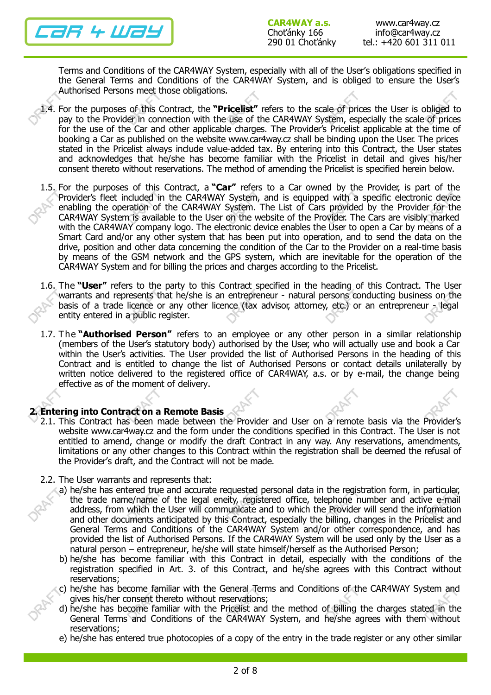

Terms and Conditions of the CAR4WAY System, especially with all of the User's obligations specified in the General Terms and Conditions of the CAR4WAY System, and is obliged to ensure the User's Authorised Persons meet those obligations.

- 1.4. For the purposes of this Contract, the "Pricelist" refers to the scale of prices the User is obliged to pay to the Provider in connection with the use of the CAR4WAY System, especially the scale of prices for the use of the Car and other applicable charges. The Provider's Pricelist applicable at the time of booking a Car as published on the website www.car4way.cz shall be binding upon the User. The prices stated in the Pricelist always include value-added tax. By entering into this Contract, the User states and acknowledges that he/she has become familiar with the Pricelist in detail and gives his/her consent thereto without reservations. The method of amending the Pricelist is specified herein below.
- 1.5. For the purposes of this Contract, a "Car" refers to a Car owned by the Provider, is part of the Provider's fleet included in the CAR4WAY System, and is equipped with a specific electronic device enabling the operation of the CAR4WAY System. The List of Cars provided by the Provider for the CAR4WAY System is available to the User on the website of the Provider. The Cars are visibly marked with the CAR4WAY company logo. The electronic device enables the User to open a Car by means of a Smart Card and/or any other system that has been put into operation, and to send the data on the drive, position and other data concerning the condition of the Car to the Provider on a real-time basis by means of the GSM network and the GPS system, which are inevitable for the operation of the CAR4WAY System and for billing the prices and charges according to the Pricelist.
- 1.6. The "User" refers to the party to this Contract specified in the heading of this Contract. The User warrants and represents that he/she is an entrepreneur - natural persons conducting business on the basis of a trade licence or any other licence (tax advisor, attorney, etc.) or an entrepreneur - legal entity entered in a public register.
- 1.7. The "Authorised Person" refers to an employee or any other person in a similar relationship (members of the User's statutory body) authorised by the User, who will actually use and book a Car within the User's activities. The User provided the list of Authorised Persons in the heading of this Contract and is entitled to change the list of Authorised Persons or contact details unilaterally by written notice delivered to the registered office of CAR4WAY, a.s. or by e-mail, the change being effective as of the moment of delivery.

#### 2. Entering into Contract on a Remote Basis

- 2.1. This Contract has been made between the Provider and User on a remote basis via the Provider's website www.car4way.cz and the form under the conditions specified in this Contract. The User is not entitled to amend, change or modify the draft Contract in any way. Any reservations, amendments, limitations or any other changes to this Contract within the registration shall be deemed the refusal of the Provider's draft, and the Contract will not be made.
	- 2.2. The User warrants and represents that:
		- a) he/she has entered true and accurate requested personal data in the registration form, in particular, the trade name/name of the legal eneity, registered office, telephone number and active e-mail address, from which the User will communicate and to which the Provider will send the information and other documents anticipated by this Contract, especially the billing, changes in the Pricelist and General Terms and Conditions of the CAR4WAY System and/or other correspondence, and has provided the list of Authorised Persons. If the CAR4WAY System will be used only by the User as a natural person – entrepreneur, he/she will state himself/herself as the Authorised Person;
		- b) he/she has become familiar with this Contract in detail, especially with the conditions of the registration specified in Art. 3. of this Contract, and he/she agrees with this Contract without reservations;
		- c) he/she has become familiar with the General Terms and Conditions of the CAR4WAY System and gives his/her consent thereto without reservations;
		- d) he/she has become familiar with the Pricelist and the method of billing the charges stated in the General Terms and Conditions of the CAR4WAY System, and he/she agrees with them without reservations;
		- e) he/she has entered true photocopies of a copy of the entry in the trade register or any other similar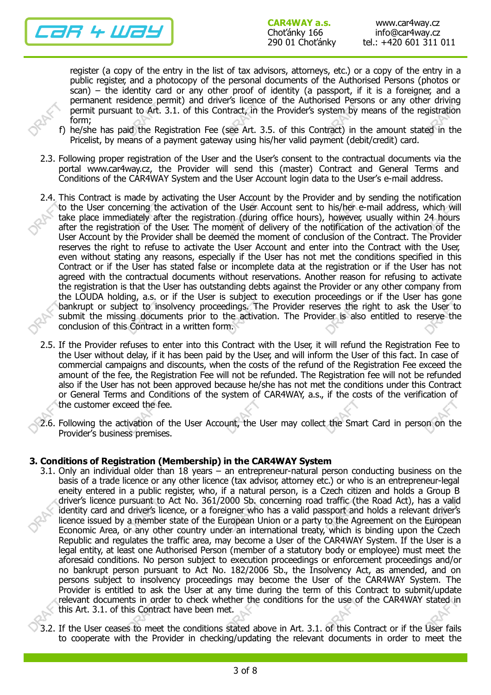

register (a copy of the entry in the list of tax advisors, attorneys, etc.) or a copy of the entry in a public register, and a photocopy of the personal documents of the Authorised Persons (photos or scan) – the identity card or any other proof of identity (a passport, if it is a foreigner, and a permanent residence permit) and driver's licence of the Authorised Persons or any other driving permit pursuant to Art. 3.1. of this Contract, in the Provider's system by means of the registration form;

- f) he/she has paid the Registration Fee (see Art. 3.5. of this Contract) in the amount stated in the Pricelist, by means of a payment gateway using his/her valid payment (debit/credit) card.
- 2.3. Following proper registration of the User and the User's consent to the contractual documents via the portal www.car4way.cz, the Provider will send this (master) Contract and General Terms and Conditions of the CAR4WAY System and the User Account login data to the User's e-mail address.
- 2.4. This Contract is made by activating the User Account by the Provider and by sending the notification to the User concerning the activation of the User Account sent to his/her e-mail address, which will take place immediately after the registration (during office hours), however, usually within 24 hours after the registration of the User. The moment of delivery of the notification of the activation of the User Account by the Provider shall be deemed the moment of conclusion of the Contract. The Provider reserves the right to refuse to activate the User Account and enter into the Contract with the User, even without stating any reasons, especially if the User has not met the conditions specified in this Contract or if the User has stated false or incomplete data at the registration or if the User has not agreed with the contractual documents without reservations. Another reason for refusing to activate the registration is that the User has outstanding debts against the Provider or any other company from the LOUDA holding, a.s. or if the User is subject to execution proceedings or if the User has gone bankrupt or subject to insolvency proceedings. The Provider reserves the right to ask the User to submit the missing documents prior to the activation. The Provider is also entitled to reserve the conclusion of this Contract in a written form.

2.5. If the Provider refuses to enter into this Contract with the User, it will refund the Registration Fee to the User without delay, if it has been paid by the User, and will inform the User of this fact. In case of commercial campaigns and discounts, when the costs of the refund of the Registration Fee exceed the amount of the fee, the Registration Fee will not be refunded. The Registration fee will not be refunded also if the User has not been approved because he/she has not met the conditions under this Contract or General Terms and Conditions of the system of CAR4WAY, a.s., if the costs of the verification of the customer exceed the fee.

2.6. Following the activation of the User Account, the User may collect the Smart Card in person on the Provider's business premises.

#### 3. Conditions of Registration (Membership) in the CAR4WAY System

- 3.1. Only an individual older than 18 years an entrepreneur-natural person conducting business on the basis of a trade licence or any other licence (tax advisor, attorney etc.) or who is an entrepreneur-legal eneity entered in a public register, who, if a natural person, is a Czech citizen and holds a Group B driver's licence pursuant to Act No. 361/2000 Sb. concerning road traffic (the Road Act), has a valid identity card and driver's licence, or a foreigner who has a valid passport and holds a relevant driver's licence issued by a member state of the European Union or a party to the Agreement on the European Economic Area, or any other country under an international treaty, which is binding upon the Czech Republic and regulates the traffic area, may become a User of the CAR4WAY System. If the User is a legal entity, at least one Authorised Person (member of a statutory body or employee) must meet the aforesaid conditions. No person subject to execution proceedings or enforcement proceedings and/or no bankrupt person pursuant to Act No. 182/2006 Sb., the Insolvency Act, as amended, and on persons subject to insolvency proceedings may become the User of the CAR4WAY System. The Provider is entitled to ask the User at any time during the term of this Contract to submit/update relevant documents in order to check whether the conditions for the use of the CAR4WAY stated in this Art. 3.1. of this Contract have been met.
- 3.2. If the User ceases to meet the conditions stated above in Art. 3.1. of this Contract or if the User fails to cooperate with the Provider in checking/updating the relevant documents in order to meet the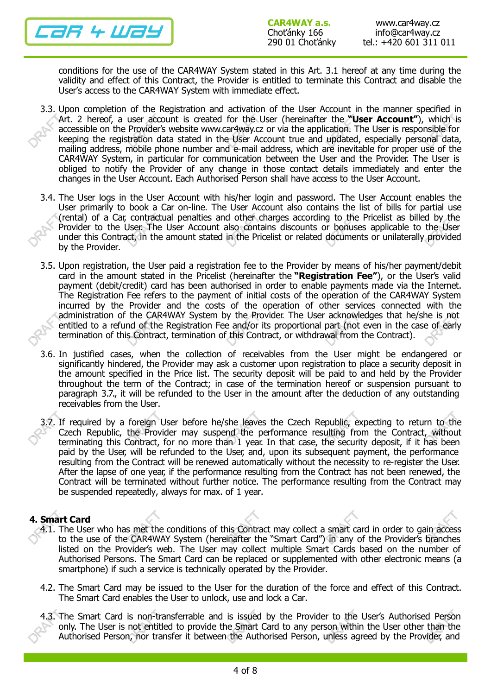

conditions for the use of the CAR4WAY System stated in this Art. 3.1 hereof at any time during the validity and effect of this Contract, the Provider is entitled to terminate this Contract and disable the User's access to the CAR4WAY System with immediate effect.

- 3.3. Upon completion of the Registration and activation of the User Account in the manner specified in Art. 2 hereof, a user account is created for the User (hereinafter the "User Account"), which is accessible on the Provider's website www.car4way.cz or via the application. The User is responsible for keeping the registration data stated in the User Account true and updated, especially personal data, mailing address, mobile phone number and e-mail address, which are inevitable for proper use of the CAR4WAY System, in particular for communication between the User and the Provider. The User is obliged to notify the Provider of any change in those contact details immediately and enter the changes in the User Account. Each Authorised Person shall have access to the User Account.
- 3.4. The User logs in the User Account with his/her login and password. The User Account enables the User primarily to book a Car on-line. The User Account also contains the list of bills for partial use (rental) of a Car, contractual penalties and other charges according to the Pricelist as billed by the Provider to the User. The User Account also contains discounts or bonuses applicable to the User under this Contract, in the amount stated in the Pricelist or related documents or unilaterally provided by the Provider.
- 3.5. Upon registration, the User paid a registration fee to the Provider by means of his/her payment/debit card in the amount stated in the Pricelist (hereinafter the "Registration Fee"), or the User's valid payment (debit/credit) card has been authorised in order to enable payments made via the Internet. The Registration Fee refers to the payment of initial costs of the operation of the CAR4WAY System incurred by the Provider and the costs of the operation of other services connected with the administration of the CAR4WAY System by the Provider. The User acknowledges that he/she is not entitled to a refund of the Registration Fee and/or its proportional part (not even in the case of early termination of this Contract, termination of this Contract, or withdrawal from the Contract).
- 3.6. In justified cases, when the collection of receivables from the User might be endangered or significantly hindered, the Provider may ask a customer upon registration to place a security deposit in the amount specified in the Price list. The security deposit will be paid to and held by the Provider throughout the term of the Contract; in case of the termination hereof or suspension pursuant to paragraph 3.7., it will be refunded to the User in the amount after the deduction of any outstanding receivables from the User.
- 3.7. If required by a foreign User before he/she leaves the Czech Republic, expecting to return to the Czech Republic, the Provider may suspend the performance resulting from the Contract, without terminating this Contract, for no more than 1 year. In that case, the security deposit, if it has been paid by the User, will be refunded to the User, and, upon its subsequent payment, the performance resulting from the Contract will be renewed automatically without the necessity to re-register the User. After the lapse of one year, if the performance resulting from the Contract has not been renewed, the Contract will be terminated without further notice. The performance resulting from the Contract may be suspended repeatedly, always for max. of 1 year.

#### 4. Smart Card

- 4.1. The User who has met the conditions of this Contract may collect a smart card in order to gain access to the use of the CAR4WAY System (hereinafter the "Smart Card") in any of the Provider's branches listed on the Provider's web. The User may collect multiple Smart Cards based on the number of Authorised Persons. The Smart Card can be replaced or supplemented with other electronic means (a smartphone) if such a service is technically operated by the Provider.
- 4.2. The Smart Card may be issued to the User for the duration of the force and effect of this Contract. The Smart Card enables the User to unlock, use and lock a Car.
- 4.3. The Smart Card is non-transferrable and is issued by the Provider to the User's Authorised Person only. The User is not entitled to provide the Smart Card to any person within the User other than the Authorised Person, nor transfer it between the Authorised Person, unless agreed by the Provider, and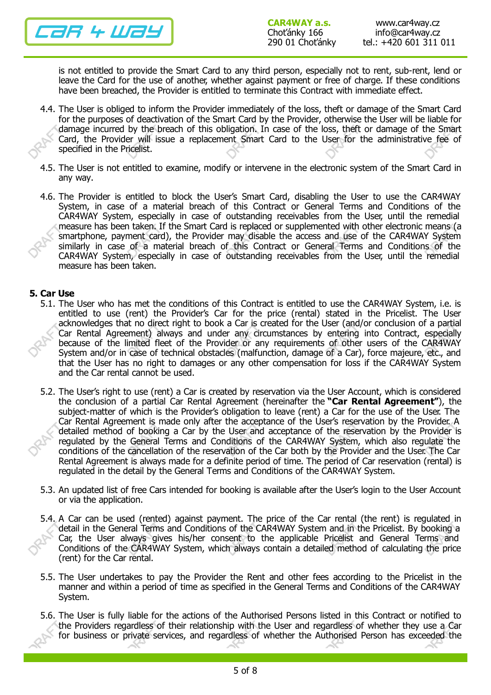

- is not entitled to provide the Smart Card to any third person, especially not to rent, sub-rent, lend or leave the Card for the use of another, whether against payment or free of charge. If these conditions have been breached, the Provider is entitled to terminate this Contract with immediate effect.
- 4.4. The User is obliged to inform the Provider immediately of the loss, theft or damage of the Smart Card for the purposes of deactivation of the Smart Card by the Provider, otherwise the User will be liable for damage incurred by the breach of this obligation. In case of the loss, theft or damage of the Smart Card, the Provider will issue a replacement Smart Card to the User for the administrative fee of specified in the Pricelist.
- 4.5. The User is not entitled to examine, modify or intervene in the electronic system of the Smart Card in any way.
- 4.6. The Provider is entitled to block the User's Smart Card, disabling the User to use the CAR4WAY System, in case of a material breach of this Contract or General Terms and Conditions of the CAR4WAY System, especially in case of outstanding receivables from the User, until the remedial measure has been taken. If the Smart Card is replaced or supplemented with other electronic means (a smartphone, payment card), the Provider may disable the access and use of the CAR4WAY System similarly in case of a material breach of this Contract or General Terms and Conditions of the CAR4WAY System, especially in case of outstanding receivables from the User, until the remedial measure has been taken.

#### 5. Car Use

- 5.1. The User who has met the conditions of this Contract is entitled to use the CAR4WAY System, i.e. is entitled to use (rent) the Provider's Car for the price (rental) stated in the Pricelist. The User acknowledges that no direct right to book a Car is created for the User (and/or conclusion of a partial Car Rental Agreement) always and under any circumstances by entering into Contract, especially because of the limited fleet of the Provider or any requirements of other users of the CAR4WAY System and/or in case of technical obstacles (malfunction, damage of a Car), force majeure, etc., and that the User has no right to damages or any other compensation for loss if the CAR4WAY System and the Car rental cannot be used.
- 5.2. The User's right to use (rent) a Car is created by reservation via the User Account, which is considered the conclusion of a partial Car Rental Agreement (hereinafter the "Car Rental Agreement"), the subject-matter of which is the Provider's obligation to leave (rent) a Car for the use of the User. The Car Rental Agreement is made only after the acceptance of the User's reservation by the Provider. A detailed method of booking a Car by the User and acceptance of the reservation by the Provider is regulated by the General Terms and Conditions of the CAR4WAY System, which also regulate the conditions of the cancellation of the reservation of the Car both by the Provider and the User. The Car Rental Agreement is always made for a definite period of time. The period of Car reservation (rental) is regulated in the detail by the General Terms and Conditions of the CAR4WAY System.
- 5.3. An updated list of free Cars intended for booking is available after the User's login to the User Account or via the application.
- 5.4. A Car can be used (rented) against payment. The price of the Car rental (the rent) is regulated in detail in the General Terms and Conditions of the CAR4WAY System and in the Pricelist. By booking a Car, the User always gives his/her consent to the applicable Pricelist and General Terms and Conditions of the CAR4WAY System, which always contain a detailed method of calculating the price (rent) for the Car rental.
- 5.5. The User undertakes to pay the Provider the Rent and other fees according to the Pricelist in the manner and within a period of time as specified in the General Terms and Conditions of the CAR4WAY System.
- 5.6. The User is fully liable for the actions of the Authorised Persons listed in this Contract or notified to the Providers regardless of their relationship with the User and regardless of whether they use a Car for business or private services, and regardless of whether the Authorised Person has exceeded the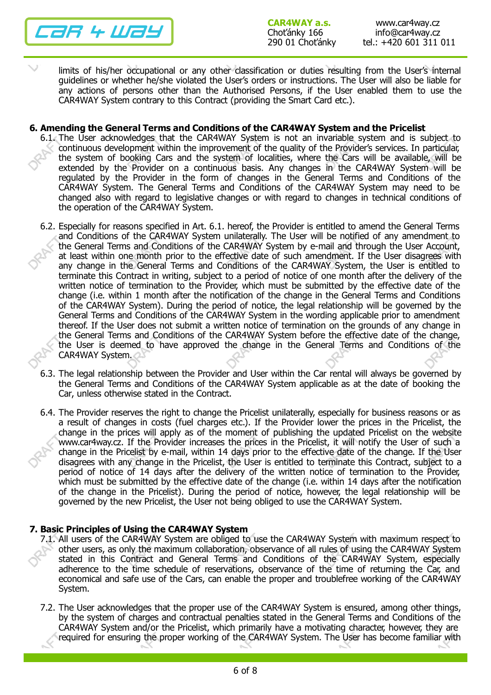2R 4 W2Y

limits of his/her occupational or any other classification or duties resulting from the User's internal guidelines or whether he/she violated the User's orders or instructions. The User will also be liable for any actions of persons other than the Authorised Persons, if the User enabled them to use the CAR4WAY System contrary to this Contract (providing the Smart Card etc.).

### 6. Amending the General Terms and Conditions of the CAR4WAY System and the Pricelist

- 6.1. The User acknowledges that the CAR4WAY System is not an invariable system and is subject to continuous development within the improvement of the quality of the Provider's services. In particular, the system of booking Cars and the system of localities, where the Cars will be available, will be extended by the Provider on a continuous basis. Any changes in the CAR4WAY System will be regulated by the Provider in the form of changes in the General Terms and Conditions of the CAR4WAY System. The General Terms and Conditions of the CAR4WAY System may need to be changed also with regard to legislative changes or with regard to changes in technical conditions of the operation of the CAR4WAY System.
- 6.2. Especially for reasons specified in Art. 6.1. hereof, the Provider is entitled to amend the General Terms and Conditions of the CAR4WAY System unilaterally. The User will be notified of any amendment to the General Terms and Conditions of the CAR4WAY System by e-mail and through the User Account, at least within one month prior to the effective date of such amendment. If the User disagrees with any change in the General Terms and Conditions of the CAR4WAY System, the User is entitled to terminate this Contract in writing, subject to a period of notice of one month after the delivery of the written notice of termination to the Provider, which must be submitted by the effective date of the change (i.e. within 1 month after the notification of the change in the General Terms and Conditions of the CAR4WAY System). During the period of notice, the legal relationship will be governed by the General Terms and Conditions of the CAR4WAY System in the wording applicable prior to amendment thereof. If the User does not submit a written notice of termination on the grounds of any change in the General Terms and Conditions of the CAR4WAY System before the effective date of the change, the User is deemed to have approved the change in the General Terms and Conditions of the CAR4WAY System.
- 6.3. The legal relationship between the Provider and User within the Car rental will always be governed by the General Terms and Conditions of the CAR4WAY System applicable as at the date of booking the Car, unless otherwise stated in the Contract.
- 6.4. The Provider reserves the right to change the Pricelist unilaterally, especially for business reasons or as a result of changes in costs (fuel charges etc.). If the Provider lower the prices in the Pricelist, the change in the prices will apply as of the moment of publishing the updated Pricelist on the website www.car4way.cz. If the Provider increases the prices in the Pricelist, it will notify the User of such a change in the Pricelist by e-mail, within 14 days prior to the effective date of the change. If the User disagrees with any change in the Pricelist, the User is entitled to terminate this Contract, subject to a period of notice of 14 days after the delivery of the written notice of termination to the Provider, which must be submitted by the effective date of the change (i.e. within 14 days after the notification of the change in the Pricelist). During the period of notice, however, the legal relationship will be governed by the new Pricelist, the User not being obliged to use the CAR4WAY System.

#### 7. Basic Principles of Using the CAR4WAY System

- 7.1. All users of the CAR4WAY System are obliged to use the CAR4WAY System with maximum respect to other users, as only the maximum collaboration, observance of all rules of using the CAR4WAY System stated in this Contract and General Terms and Conditions of the CAR4WAY System, especially adherence to the time schedule of reservations, observance of the time of returning the Car, and economical and safe use of the Cars, can enable the proper and troublefree working of the CAR4WAY System.
- 7.2. The User acknowledges that the proper use of the CAR4WAY System is ensured, among other things, by the system of charges and contractual penalties stated in the General Terms and Conditions of the CAR4WAY System and/or the Pricelist, which primarily have a motivating character, however, they are required for ensuring the proper working of the CAR4WAY System. The User has become familiar with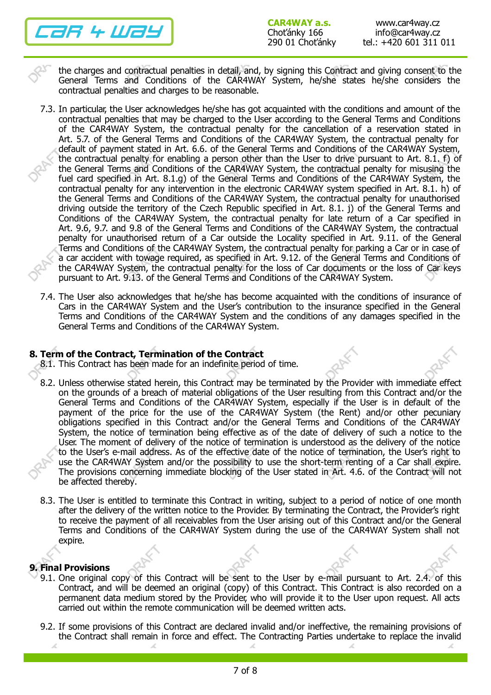# 1R 4 WaY

the charges and contractual penalties in detail, and, by signing this Contract and giving consent to the General Terms and Conditions of the CAR4WAY System, he/she states he/she considers the contractual penalties and charges to be reasonable.

- 7.3. In particular, the User acknowledges he/she has got acquainted with the conditions and amount of the contractual penalties that may be charged to the User according to the General Terms and Conditions of the CAR4WAY System, the contractual penalty for the cancellation of a reservation stated in Art. 5.7. of the General Terms and Conditions of the CAR4WAY System, the contractual penalty for default of payment stated in Art. 6.6. of the General Terms and Conditions of the CAR4WAY System, the contractual penalty for enabling a person other than the User to drive pursuant to Art. 8.1. f) of the General Terms and Conditions of the CAR4WAY System, the contractual penalty for misusing the fuel card specified in Art. 8.1.g) of the General Terms and Conditions of the CAR4WAY System, the contractual penalty for any intervention in the electronic CAR4WAY system specified in Art. 8.1. h) of the General Terms and Conditions of the CAR4WAY System, the contractual penalty for unauthorised driving outside the territory of the Czech Republic specified in Art. 8.1. j) of the General Terms and Conditions of the CAR4WAY System, the contractual penalty for late return of a Car specified in Art. 9.6, 9.7. and 9.8 of the General Terms and Conditions of the CAR4WAY System, the contractual penalty for unauthorised return of a Car outside the Locality specified in Art. 9.11. of the General Terms and Conditions of the CAR4WAY System, the contractual penalty for parking a Car or in case of a car accident with towage required, as specified in Art. 9.12. of the General Terms and Conditions of the CAR4WAY System, the contractual penalty for the loss of Car documents or the loss of Car keys pursuant to Art. 9.13. of the General Terms and Conditions of the CAR4WAY System.
- 7.4. The User also acknowledges that he/she has become acquainted with the conditions of insurance of Cars in the CAR4WAY System and the User's contribution to the insurance specified in the General Terms and Conditions of the CAR4WAY System and the conditions of any damages specified in the General Terms and Conditions of the CAR4WAY System.

# 8. Term of the Contract, Termination of the Contract

8.1. This Contract has been made for an indefinite period of time.

- 8.2. Unless otherwise stated herein, this Contract may be terminated by the Provider with immediate effect on the grounds of a breach of material obligations of the User resulting from this Contract and/or the General Terms and Conditions of the CAR4WAY System, especially if the User is in default of the payment of the price for the use of the CAR4WAY System (the Rent) and/or other pecuniary obligations specified in this Contract and/or the General Terms and Conditions of the CAR4WAY System, the notice of termination being effective as of the date of delivery of such a notice to the User. The moment of delivery of the notice of termination is understood as the delivery of the notice to the User's e-mail address. As of the effective date of the notice of termination, the User's right to use the CAR4WAY System and/or the possibility to use the short-term renting of a Car shall expire. The provisions concerning immediate blocking of the User stated in Art. 4.6. of the Contract will not be affected thereby.
- 8.3. The User is entitled to terminate this Contract in writing, subject to a period of notice of one month after the delivery of the written notice to the Provider. By terminating the Contract, the Provider's right to receive the payment of all receivables from the User arising out of this Contract and/or the General Terms and Conditions of the CAR4WAY System during the use of the CAR4WAY System shall not expire.

#### 9. Final Provisions

- 9.1. One original copy of this Contract will be sent to the User by e-mail pursuant to Art. 2.4. of this Contract, and will be deemed an original (copy) of this Contract. This Contract is also recorded on a permanent data medium stored by the Provider, who will provide it to the User upon request. All acts carried out within the remote communication will be deemed written acts.
- 9.2. If some provisions of this Contract are declared invalid and/or ineffective, the remaining provisions of the Contract shall remain in force and effect. The Contracting Parties undertake to replace the invalid